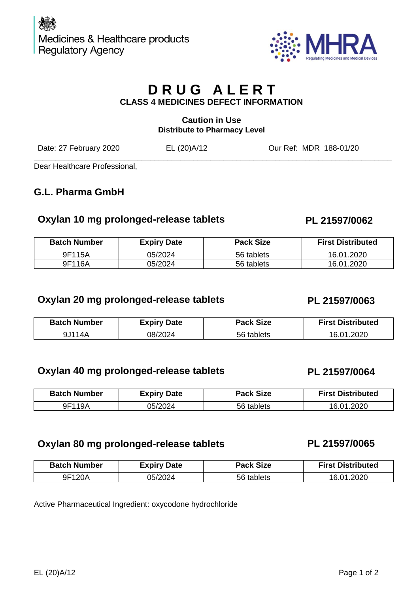

## **Caution in Use Distribute to Pharmacy Level**

Date: 27 February 2020 **EL (20)A/12** Our Ref: MDR 188-01/20

\_\_\_\_\_\_\_\_\_\_\_\_\_\_\_\_\_\_\_\_\_\_\_\_\_\_\_\_\_\_\_\_\_\_\_\_\_\_\_\_\_\_\_\_\_\_\_\_\_\_\_\_\_\_\_\_\_\_\_\_\_\_\_\_\_\_\_\_\_\_\_\_\_\_\_\_\_\_\_\_\_\_\_ Dear Healthcare Professional,

# **G.L. Pharma GmbH**

# **Oxylan 10 mg prolonged-release tablets PL 21597/0062**

| <b>Batch Number</b> | <b>Expiry Date</b> | <b>Pack Size</b> | <b>First Distributed</b> |
|---------------------|--------------------|------------------|--------------------------|
| 9F115A              | 05/2024            | 56 tablets       | 16.01.2020               |
| 9F116A              | 05/2024            | 56 tablets       | 16.01.2020               |

# **Oxylan 20 mg prolonged-release tablets PL 21597/0063**

| <b>Batch Number</b> | <b>Expiry Date</b> | <b>Pack Size</b> | <b>First Distributed</b> |
|---------------------|--------------------|------------------|--------------------------|
| 9J114A              | 08/2024            | 56 tablets       | 16.01.2020               |

## **Oxylan 40 mg prolonged-release tablets PL 21597/0064**

| <b>Batch Number</b> | <b>Expiry Date</b> | <b>Pack Size</b> | <b>First Distributed</b> |
|---------------------|--------------------|------------------|--------------------------|
| 9F119A              | 05/2024            | 56 tablets       | 16.01.2020               |

## **Oxylan 80 mg prolonged-release tablets PL 21597/0065**

| <b>Batch Number</b> | <b>Expiry Date</b> | <b>Pack Size</b> | <b>First Distributed</b> |
|---------------------|--------------------|------------------|--------------------------|
| 9F120A              | 05/2024            | 56 tablets       | 16.01.2020               |

Active Pharmaceutical Ingredient: oxycodone hydrochloride